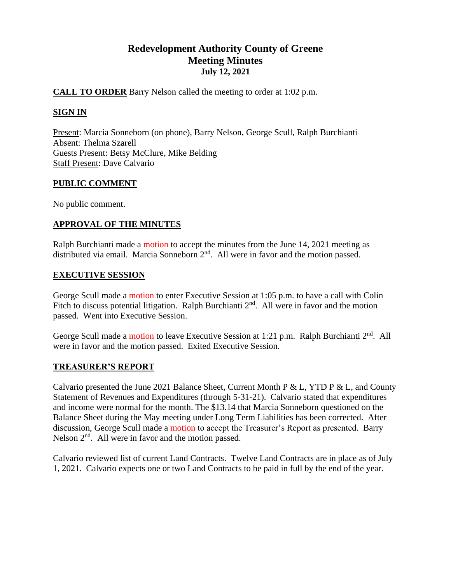# **Redevelopment Authority County of Greene Meeting Minutes July 12, 2021**

# **CALL TO ORDER** Barry Nelson called the meeting to order at 1:02 p.m.

# **SIGN IN**

Present: Marcia Sonneborn (on phone), Barry Nelson, George Scull, Ralph Burchianti Absent: Thelma Szarell Guests Present: Betsy McClure, Mike Belding Staff Present: Dave Calvario

# **PUBLIC COMMENT**

No public comment.

# **APPROVAL OF THE MINUTES**

Ralph Burchianti made a motion to accept the minutes from the June 14, 2021 meeting as distributed via email. Marcia Sonneborn  $2<sup>nd</sup>$ . All were in favor and the motion passed.

# **EXECUTIVE SESSION**

George Scull made a motion to enter Executive Session at 1:05 p.m. to have a call with Colin Fitch to discuss potential litigation. Ralph Burchianti  $2<sup>nd</sup>$ . All were in favor and the motion passed. Went into Executive Session.

George Scull made a motion to leave Executive Session at 1:21 p.m. Ralph Burchianti 2<sup>nd</sup>. All were in favor and the motion passed. Exited Executive Session.

# **TREASURER'S REPORT**

Calvario presented the June 2021 Balance Sheet, Current Month P & L, YTD P & L, and County Statement of Revenues and Expenditures (through 5-31-21). Calvario stated that expenditures and income were normal for the month. The \$13.14 that Marcia Sonneborn questioned on the Balance Sheet during the May meeting under Long Term Liabilities has been corrected. After discussion, George Scull made a motion to accept the Treasurer's Report as presented. Barry Nelson  $2<sup>nd</sup>$ . All were in favor and the motion passed.

Calvario reviewed list of current Land Contracts. Twelve Land Contracts are in place as of July 1, 2021. Calvario expects one or two Land Contracts to be paid in full by the end of the year.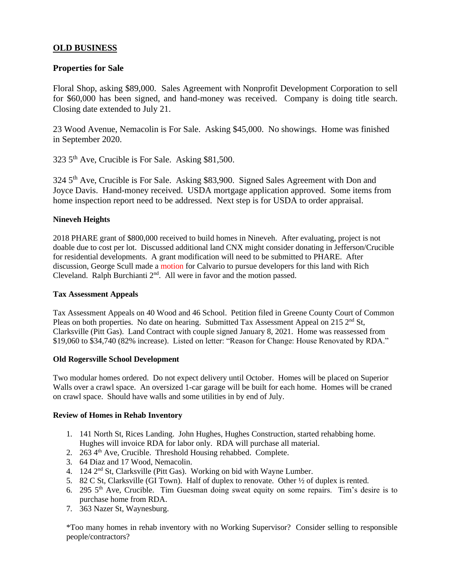# **OLD BUSINESS**

### **Properties for Sale**

Floral Shop, asking \$89,000. Sales Agreement with Nonprofit Development Corporation to sell for \$60,000 has been signed, and hand-money was received. Company is doing title search. Closing date extended to July 21.

23 Wood Avenue, Nemacolin is For Sale. Asking \$45,000. No showings. Home was finished in September 2020.

323 5th Ave, Crucible is For Sale. Asking \$81,500.

324 5<sup>th</sup> Ave, Crucible is For Sale. Asking \$83,900. Signed Sales Agreement with Don and Joyce Davis. Hand-money received. USDA mortgage application approved. Some items from home inspection report need to be addressed. Next step is for USDA to order appraisal.

#### **Nineveh Heights**

2018 PHARE grant of \$800,000 received to build homes in Nineveh. After evaluating, project is not doable due to cost per lot. Discussed additional land CNX might consider donating in Jefferson/Crucible for residential developments. A grant modification will need to be submitted to PHARE. After discussion, George Scull made a motion for Calvario to pursue developers for this land with Rich Cleveland. Ralph Burchianti 2nd. All were in favor and the motion passed.

#### **Tax Assessment Appeals**

Tax Assessment Appeals on 40 Wood and 46 School. Petition filed in Greene County Court of Common Pleas on both properties. No date on hearing. Submitted Tax Assessment Appeal on 215  $2<sup>nd</sup>$  St, Clarksville (Pitt Gas). Land Contract with couple signed January 8, 2021. Home was reassessed from \$19,060 to \$34,740 (82% increase). Listed on letter: "Reason for Change: House Renovated by RDA."

#### **Old Rogersville School Development**

Two modular homes ordered. Do not expect delivery until October. Homes will be placed on Superior Walls over a crawl space. An oversized 1-car garage will be built for each home. Homes will be craned on crawl space. Should have walls and some utilities in by end of July.

#### **Review of Homes in Rehab Inventory**

- 1. 141 North St, Rices Landing. John Hughes, Hughes Construction, started rehabbing home. Hughes will invoice RDA for labor only. RDA will purchase all material.
- 2. 263 4<sup>th</sup> Ave, Crucible. Threshold Housing rehabbed. Complete.
- 3. 64 Diaz and 17 Wood, Nemacolin.
- 4. 124 2nd St, Clarksville (Pitt Gas). Working on bid with Wayne Lumber.
- 5. 82 C St, Clarksville (GI Town). Half of duplex to renovate. Other ½ of duplex is rented.
- 6. 295  $5<sup>th</sup>$  Ave, Crucible. Tim Guesman doing sweat equity on some repairs. Tim's desire is to purchase home from RDA.
- 7. 363 Nazer St, Waynesburg.

\*Too many homes in rehab inventory with no Working Supervisor? Consider selling to responsible people/contractors?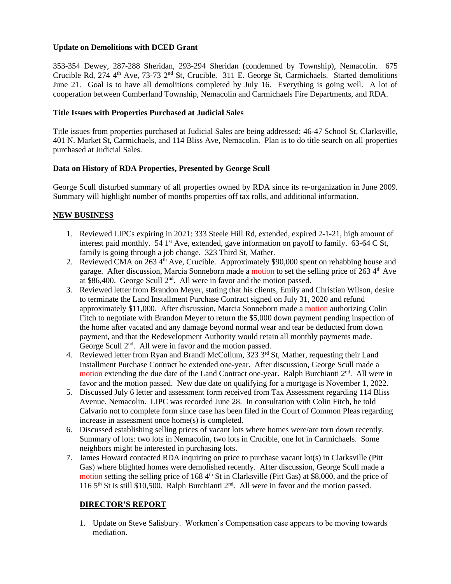### **Update on Demolitions with DCED Grant**

353-354 Dewey, 287-288 Sheridan, 293-294 Sheridan (condemned by Township), Nemacolin. 675 Crucible Rd, 274 4<sup>th</sup> Ave, 73-73 2<sup>nd</sup> St, Crucible. 311 E. George St, Carmichaels. Started demolitions June 21. Goal is to have all demolitions completed by July 16. Everything is going well. A lot of cooperation between Cumberland Township, Nemacolin and Carmichaels Fire Departments, and RDA.

#### **Title Issues with Properties Purchased at Judicial Sales**

Title issues from properties purchased at Judicial Sales are being addressed: 46-47 School St, Clarksville, 401 N. Market St, Carmichaels, and 114 Bliss Ave, Nemacolin. Plan is to do title search on all properties purchased at Judicial Sales.

#### **Data on History of RDA Properties, Presented by George Scull**

George Scull disturbed summary of all properties owned by RDA since its re-organization in June 2009. Summary will highlight number of months properties off tax rolls, and additional information.

### **NEW BUSINESS**

- 1. Reviewed LIPCs expiring in 2021: 333 Steele Hill Rd, extended, expired 2-1-21, high amount of interest paid monthly. 54  $1<sup>st</sup>$  Ave, extended, gave information on payoff to family. 63-64 C St, family is going through a job change. 323 Third St, Mather.
- 2. Reviewed CMA on 263  $4<sup>th</sup>$  Ave, Crucible. Approximately \$90,000 spent on rehabbing house and garage. After discussion, Marcia Sonneborn made a motion to set the selling price of 263 4<sup>th</sup> Ave at \$86,400. George Scull 2<sup>nd</sup>. All were in favor and the motion passed.
- 3. Reviewed letter from Brandon Meyer, stating that his clients, Emily and Christian Wilson, desire to terminate the Land Installment Purchase Contract signed on July 31, 2020 and refund approximately \$11,000. After discussion, Marcia Sonneborn made a motion authorizing Colin Fitch to negotiate with Brandon Meyer to return the \$5,000 down payment pending inspection of the home after vacated and any damage beyond normal wear and tear be deducted from down payment, and that the Redevelopment Authority would retain all monthly payments made. George Scull 2<sup>nd</sup>. All were in favor and the motion passed.
- 4. Reviewed letter from Ryan and Brandi McCollum,  $323 \, 3^{rd}$  St, Mather, requesting their Land Installment Purchase Contract be extended one-year. After discussion, George Scull made a motion extending the due date of the Land Contract one-year. Ralph Burchianti 2<sup>nd</sup>. All were in favor and the motion passed. New due date on qualifying for a mortgage is November 1, 2022.
- 5. Discussed July 6 letter and assessment form received from Tax Assessment regarding 114 Bliss Avenue, Nemacolin. LIPC was recorded June 28. In consultation with Colin Fitch, he told Calvario not to complete form since case has been filed in the Court of Common Pleas regarding increase in assessment once home(s) is completed.
- 6. Discussed establishing selling prices of vacant lots where homes were/are torn down recently. Summary of lots: two lots in Nemacolin, two lots in Crucible, one lot in Carmichaels. Some neighbors might be interested in purchasing lots.
- 7. James Howard contacted RDA inquiring on price to purchase vacant lot(s) in Clarksville (Pitt Gas) where blighted homes were demolished recently. After discussion, George Scull made a motion setting the selling price of 168  $4<sup>th</sup>$  St in Clarksville (Pitt Gas) at \$8,000, and the price of 116 5th St is still \$10,500. Ralph Burchianti 2nd. All were in favor and the motion passed.

# **DIRECTOR'S REPORT**

1. Update on Steve Salisbury. Workmen's Compensation case appears to be moving towards mediation.